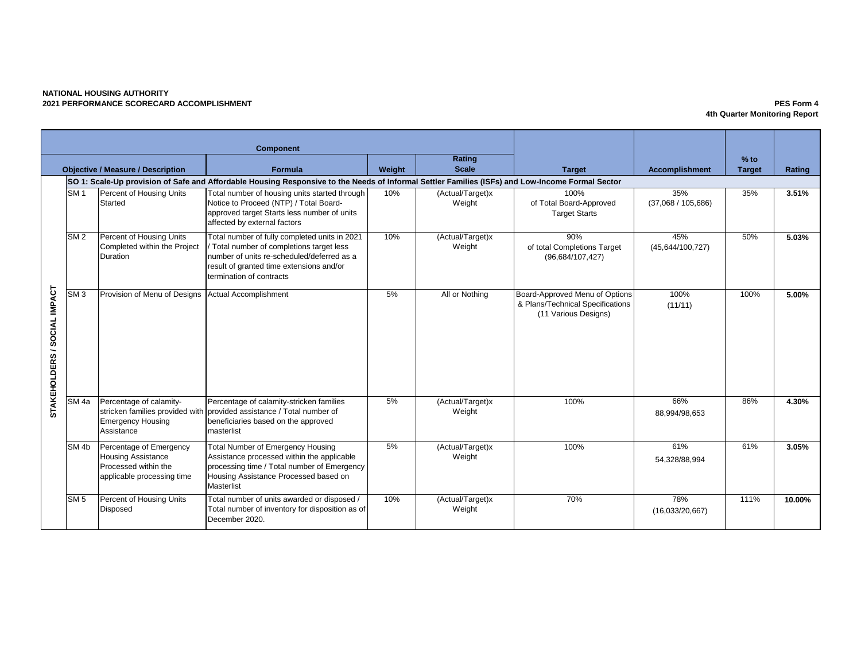## **NATIONAL HOUSING AUTHORITY 2021 PERFORMANCE SCORECARD ACCOMPLISHMENT PES Form 4**

**4th Quarter Monitoring Report**

|                                                                                                                                                  | <b>Component</b>                                    |                                                                                                            |                                                                                                                                                                                                                  |        |                            |                                                                                            |                           |                         |        |
|--------------------------------------------------------------------------------------------------------------------------------------------------|-----------------------------------------------------|------------------------------------------------------------------------------------------------------------|------------------------------------------------------------------------------------------------------------------------------------------------------------------------------------------------------------------|--------|----------------------------|--------------------------------------------------------------------------------------------|---------------------------|-------------------------|--------|
|                                                                                                                                                  | <b>Objective / Measure / Description</b><br>Formula |                                                                                                            |                                                                                                                                                                                                                  | Weight | Rating<br><b>Scale</b>     | <b>Target</b>                                                                              | <b>Accomplishment</b>     | $%$ to<br><b>Target</b> | Rating |
| SO 1: Scale-Up provision of Safe and Affordable Housing Responsive to the Needs of Informal Settler Families (ISFs) and Low-Income Formal Sector |                                                     |                                                                                                            |                                                                                                                                                                                                                  |        |                            |                                                                                            |                           |                         |        |
|                                                                                                                                                  | SM <sub>1</sub>                                     | Percent of Housing Units<br>Started                                                                        | Total number of housing units started through<br>Notice to Proceed (NTP) / Total Board-<br>approved target Starts less number of units<br>affected by external factors                                           | 10%    | (Actual/Target)x<br>Weight | 100%<br>of Total Board-Approved<br><b>Target Starts</b>                                    | 35%<br>(37,068 / 105,686) | 35%                     | 3.51%  |
|                                                                                                                                                  | SM <sub>2</sub>                                     | Percent of Housing Units<br>Completed within the Project<br>Duration                                       | Total number of fully completed units in 2021<br>/ Total number of completions target less<br>number of units re-scheduled/deferred as a<br>result of granted time extensions and/or<br>termination of contracts | 10%    | (Actual/Target)x<br>Weight | 90%<br>of total Completions Target<br>(96,684/107,427)                                     | 45%<br>(45,644/100,727)   | 50%                     | 5.03%  |
| /SOCIAL IMPACT<br><b>STAKEHOLDERS</b>                                                                                                            | SM <sub>3</sub>                                     | Provision of Menu of Designs Actual Accomplishment                                                         |                                                                                                                                                                                                                  | 5%     | All or Nothing             | Board-Approved Menu of Options<br>& Plans/Technical Specifications<br>(11 Various Designs) | 100%<br>(11/11)           | 100%                    | 5.00%  |
|                                                                                                                                                  | SM <sub>4a</sub>                                    | Percentage of calamity-<br><b>Emergency Housing</b><br>Assistance                                          | Percentage of calamity-stricken families<br>stricken families provided with provided assistance / Total number of<br>beneficiaries based on the approved<br>masterlist                                           | 5%     | (Actual/Target)x<br>Weight | 100%                                                                                       | 66%<br>88,994/98,653      | 86%                     | 4.30%  |
|                                                                                                                                                  | SM <sub>4b</sub>                                    | Percentage of Emergency<br><b>Housing Assistance</b><br>Processed within the<br>applicable processing time | <b>Total Number of Emergency Housing</b><br>Assistance processed within the applicable<br>processing time / Total number of Emergency<br>Housing Assistance Processed based on<br><b>Masterlist</b>              | 5%     | (Actual/Target)x<br>Weight | 100%                                                                                       | 61%<br>54,328/88,994      | 61%                     | 3.05%  |
|                                                                                                                                                  | SM <sub>5</sub>                                     | Percent of Housing Units<br>Disposed                                                                       | Total number of units awarded or disposed /<br>Total number of inventory for disposition as of<br>December 2020.                                                                                                 | 10%    | (Actual/Target)x<br>Weight | 70%                                                                                        | 78%<br>(16,033/20,667)    | 111%                    | 10.00% |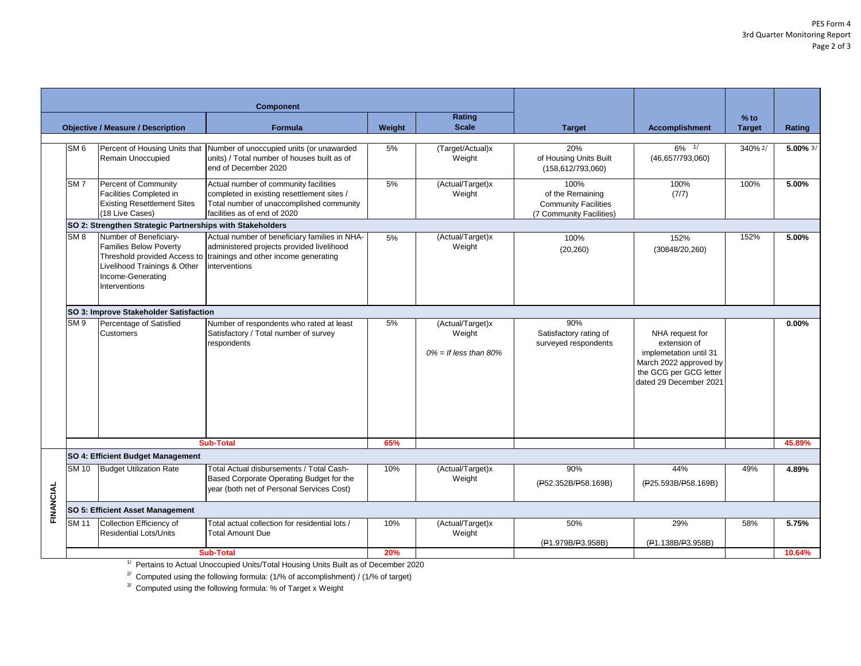| <b>Component</b><br>Rating<br>$%$ to<br><b>Scale</b><br><b>Objective / Measure / Description</b><br>Weight<br><b>Formula</b><br><b>Target</b><br><b>Accomplishment</b><br><b>Target</b><br>Rating<br>Percent of Housing Units that<br>20%<br>$6\%$ $1/$<br>SM <sub>6</sub><br>Number of unoccupied units (or unawarded<br>5%<br>(Target/Actual)x<br>340% 2/<br>$5.00\%$ $\frac{3}{1}$<br>units) / Total number of houses built as of<br>Remain Unoccupied<br>Weight<br>of Housing Units Built<br>(46,657/793,060)<br>end of December 2020<br>(158, 612/793, 060)<br>Percent of Community<br>5%<br>SM <sub>7</sub><br>Actual number of community facilities<br>(Actual/Target)x<br>100%<br>100%<br>100%<br>5.00%<br>Facilities Completed in<br>completed in existing resettlement sites /<br>Weight<br>of the Remaining<br>(7/7)<br><b>Existing Resettlement Sites</b><br>Total number of unaccomplished community<br><b>Community Facilities</b><br>(18 Live Cases)<br>facilities as of end of 2020<br>(7 Community Facilities)<br>SO 2: Strengthen Strategic Partnerships with Stakeholders<br>Number of Beneficiary-<br>Actual number of beneficiary families in NHA-<br>(Actual/Target)x<br>152%<br>SM 8<br>5.00%<br>100%<br>5%<br>152%<br><b>Families Below Poverty</b><br>administered projects provided livelihood<br>Weight<br>(20, 260)<br>(30848/20, 260)<br>Threshold provided Access to<br>trainings and other income generating<br>Livelihood Trainings & Other<br>interventions<br>Income-Generating<br>Interventions<br>SO 3: Improve Stakeholder Satisfaction<br>5%<br>90%<br>SM <sub>9</sub><br>Percentage of Satisfied<br>Number of respondents who rated at least<br>(Actual/Target)x<br>$0.00\%$<br>Satisfactory / Total number of survey<br>Weight<br>Customers<br>Satisfactory rating of<br>NHA request for<br>respondents<br>surveyed respondents<br>extension of<br>$0\% =$ If less than 80%<br>implemetation until 31<br>March 2022 approved by<br>the GCG per GCG letter<br>dated 29 December 2021<br><b>Sub-Total</b><br>65%<br>45.89%<br>SO 4: Efficient Budget Management<br>SM 10<br><b>Budget Utilization Rate</b><br>Total Actual disbursements / Total Cash-<br>90%<br>44%<br>49%<br>10%<br>(Actual/Target)x<br>4.89%<br>Based Corporate Operating Budget for the<br>Weight<br>(P52.352B/P58.169B)<br>(P25.593B/P58.169B)<br>FINANCIAL<br>year (both net of Personal Services Cost)<br>SO 5: Efficient Asset Management<br>10%<br>50%<br>29%<br>58%<br>SM 11<br>Collection Efficiency of<br>5.75%<br>Total actual collection for residential lots /<br>(Actual/Target)x<br><b>Residential Lots/Units</b><br><b>Total Amount Due</b><br>Weight<br>(P1.138B/P3.958B)<br>(P1.979B/P3.958B)<br>10.64%<br><b>Sub-Total</b><br>20% |  |                                                                                                   |  |  |  |  |  |  |  |  |
|--------------------------------------------------------------------------------------------------------------------------------------------------------------------------------------------------------------------------------------------------------------------------------------------------------------------------------------------------------------------------------------------------------------------------------------------------------------------------------------------------------------------------------------------------------------------------------------------------------------------------------------------------------------------------------------------------------------------------------------------------------------------------------------------------------------------------------------------------------------------------------------------------------------------------------------------------------------------------------------------------------------------------------------------------------------------------------------------------------------------------------------------------------------------------------------------------------------------------------------------------------------------------------------------------------------------------------------------------------------------------------------------------------------------------------------------------------------------------------------------------------------------------------------------------------------------------------------------------------------------------------------------------------------------------------------------------------------------------------------------------------------------------------------------------------------------------------------------------------------------------------------------------------------------------------------------------------------------------------------------------------------------------------------------------------------------------------------------------------------------------------------------------------------------------------------------------------------------------------------------------------------------------------------------------------------------------------------------------------------------------------------------------------------------------------------------------------------------------------------------------------------------------------------------------------------------------------------------------------------------------------------------------------------------------------------------------------------------------------------------------------------|--|---------------------------------------------------------------------------------------------------|--|--|--|--|--|--|--|--|
|                                                                                                                                                                                                                                                                                                                                                                                                                                                                                                                                                                                                                                                                                                                                                                                                                                                                                                                                                                                                                                                                                                                                                                                                                                                                                                                                                                                                                                                                                                                                                                                                                                                                                                                                                                                                                                                                                                                                                                                                                                                                                                                                                                                                                                                                                                                                                                                                                                                                                                                                                                                                                                                                                                                                                              |  |                                                                                                   |  |  |  |  |  |  |  |  |
|                                                                                                                                                                                                                                                                                                                                                                                                                                                                                                                                                                                                                                                                                                                                                                                                                                                                                                                                                                                                                                                                                                                                                                                                                                                                                                                                                                                                                                                                                                                                                                                                                                                                                                                                                                                                                                                                                                                                                                                                                                                                                                                                                                                                                                                                                                                                                                                                                                                                                                                                                                                                                                                                                                                                                              |  |                                                                                                   |  |  |  |  |  |  |  |  |
|                                                                                                                                                                                                                                                                                                                                                                                                                                                                                                                                                                                                                                                                                                                                                                                                                                                                                                                                                                                                                                                                                                                                                                                                                                                                                                                                                                                                                                                                                                                                                                                                                                                                                                                                                                                                                                                                                                                                                                                                                                                                                                                                                                                                                                                                                                                                                                                                                                                                                                                                                                                                                                                                                                                                                              |  |                                                                                                   |  |  |  |  |  |  |  |  |
|                                                                                                                                                                                                                                                                                                                                                                                                                                                                                                                                                                                                                                                                                                                                                                                                                                                                                                                                                                                                                                                                                                                                                                                                                                                                                                                                                                                                                                                                                                                                                                                                                                                                                                                                                                                                                                                                                                                                                                                                                                                                                                                                                                                                                                                                                                                                                                                                                                                                                                                                                                                                                                                                                                                                                              |  |                                                                                                   |  |  |  |  |  |  |  |  |
|                                                                                                                                                                                                                                                                                                                                                                                                                                                                                                                                                                                                                                                                                                                                                                                                                                                                                                                                                                                                                                                                                                                                                                                                                                                                                                                                                                                                                                                                                                                                                                                                                                                                                                                                                                                                                                                                                                                                                                                                                                                                                                                                                                                                                                                                                                                                                                                                                                                                                                                                                                                                                                                                                                                                                              |  |                                                                                                   |  |  |  |  |  |  |  |  |
|                                                                                                                                                                                                                                                                                                                                                                                                                                                                                                                                                                                                                                                                                                                                                                                                                                                                                                                                                                                                                                                                                                                                                                                                                                                                                                                                                                                                                                                                                                                                                                                                                                                                                                                                                                                                                                                                                                                                                                                                                                                                                                                                                                                                                                                                                                                                                                                                                                                                                                                                                                                                                                                                                                                                                              |  |                                                                                                   |  |  |  |  |  |  |  |  |
|                                                                                                                                                                                                                                                                                                                                                                                                                                                                                                                                                                                                                                                                                                                                                                                                                                                                                                                                                                                                                                                                                                                                                                                                                                                                                                                                                                                                                                                                                                                                                                                                                                                                                                                                                                                                                                                                                                                                                                                                                                                                                                                                                                                                                                                                                                                                                                                                                                                                                                                                                                                                                                                                                                                                                              |  |                                                                                                   |  |  |  |  |  |  |  |  |
|                                                                                                                                                                                                                                                                                                                                                                                                                                                                                                                                                                                                                                                                                                                                                                                                                                                                                                                                                                                                                                                                                                                                                                                                                                                                                                                                                                                                                                                                                                                                                                                                                                                                                                                                                                                                                                                                                                                                                                                                                                                                                                                                                                                                                                                                                                                                                                                                                                                                                                                                                                                                                                                                                                                                                              |  |                                                                                                   |  |  |  |  |  |  |  |  |
|                                                                                                                                                                                                                                                                                                                                                                                                                                                                                                                                                                                                                                                                                                                                                                                                                                                                                                                                                                                                                                                                                                                                                                                                                                                                                                                                                                                                                                                                                                                                                                                                                                                                                                                                                                                                                                                                                                                                                                                                                                                                                                                                                                                                                                                                                                                                                                                                                                                                                                                                                                                                                                                                                                                                                              |  |                                                                                                   |  |  |  |  |  |  |  |  |
|                                                                                                                                                                                                                                                                                                                                                                                                                                                                                                                                                                                                                                                                                                                                                                                                                                                                                                                                                                                                                                                                                                                                                                                                                                                                                                                                                                                                                                                                                                                                                                                                                                                                                                                                                                                                                                                                                                                                                                                                                                                                                                                                                                                                                                                                                                                                                                                                                                                                                                                                                                                                                                                                                                                                                              |  |                                                                                                   |  |  |  |  |  |  |  |  |
|                                                                                                                                                                                                                                                                                                                                                                                                                                                                                                                                                                                                                                                                                                                                                                                                                                                                                                                                                                                                                                                                                                                                                                                                                                                                                                                                                                                                                                                                                                                                                                                                                                                                                                                                                                                                                                                                                                                                                                                                                                                                                                                                                                                                                                                                                                                                                                                                                                                                                                                                                                                                                                                                                                                                                              |  |                                                                                                   |  |  |  |  |  |  |  |  |
|                                                                                                                                                                                                                                                                                                                                                                                                                                                                                                                                                                                                                                                                                                                                                                                                                                                                                                                                                                                                                                                                                                                                                                                                                                                                                                                                                                                                                                                                                                                                                                                                                                                                                                                                                                                                                                                                                                                                                                                                                                                                                                                                                                                                                                                                                                                                                                                                                                                                                                                                                                                                                                                                                                                                                              |  |                                                                                                   |  |  |  |  |  |  |  |  |
|                                                                                                                                                                                                                                                                                                                                                                                                                                                                                                                                                                                                                                                                                                                                                                                                                                                                                                                                                                                                                                                                                                                                                                                                                                                                                                                                                                                                                                                                                                                                                                                                                                                                                                                                                                                                                                                                                                                                                                                                                                                                                                                                                                                                                                                                                                                                                                                                                                                                                                                                                                                                                                                                                                                                                              |  |                                                                                                   |  |  |  |  |  |  |  |  |
|                                                                                                                                                                                                                                                                                                                                                                                                                                                                                                                                                                                                                                                                                                                                                                                                                                                                                                                                                                                                                                                                                                                                                                                                                                                                                                                                                                                                                                                                                                                                                                                                                                                                                                                                                                                                                                                                                                                                                                                                                                                                                                                                                                                                                                                                                                                                                                                                                                                                                                                                                                                                                                                                                                                                                              |  |                                                                                                   |  |  |  |  |  |  |  |  |
|                                                                                                                                                                                                                                                                                                                                                                                                                                                                                                                                                                                                                                                                                                                                                                                                                                                                                                                                                                                                                                                                                                                                                                                                                                                                                                                                                                                                                                                                                                                                                                                                                                                                                                                                                                                                                                                                                                                                                                                                                                                                                                                                                                                                                                                                                                                                                                                                                                                                                                                                                                                                                                                                                                                                                              |  | $\frac{1}{2}$ Dertains to Actual Uneceupied Unite (Tetal Housing Unite Built as of December 2020) |  |  |  |  |  |  |  |  |

Pertains to Actual Unoccupied Units/Total Housing Units Built as of December 2020

 $^{2}$  Computed using the following formula: (1/% of accomplishment) / (1/% of target)

 $3'$  Computed using the following formula: % of Target x Weight